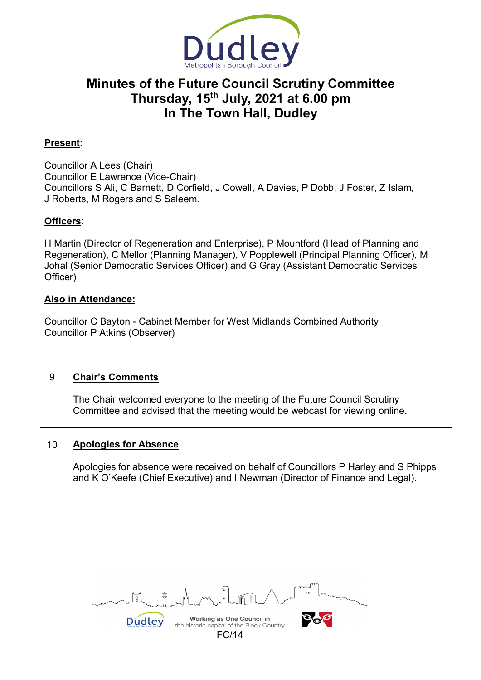

# **Minutes of the Future Council Scrutiny Committee Thursday, 15th July, 2021 at 6.00 pm In The Town Hall, Dudley**

# **Present**:

Councillor A Lees (Chair) Councillor E Lawrence (Vice-Chair) Councillors S Ali, C Barnett, D Corfield, J Cowell, A Davies, P Dobb, J Foster, Z Islam, J Roberts, M Rogers and S Saleem.

# **Officers**:

H Martin (Director of Regeneration and Enterprise), P Mountford (Head of Planning and Regeneration), C Mellor (Planning Manager), V Popplewell (Principal Planning Officer), M Johal (Senior Democratic Services Officer) and G Gray (Assistant Democratic Services Officer)

## **Also in Attendance:**

Councillor C Bayton - Cabinet Member for West Midlands Combined Authority Councillor P Atkins (Observer)

## 9 **Chair's Comments**

The Chair welcomed everyone to the meeting of the Future Council Scrutiny Committee and advised that the meeting would be webcast for viewing online.

## 10 **Apologies for Absence**

Apologies for absence were received on behalf of Councillors P Harley and S Phipps and K O'Keefe (Chief Executive) and I Newman (Director of Finance and Legal).

Working as One Council in Dudley the historic capital of the Black Country FC/14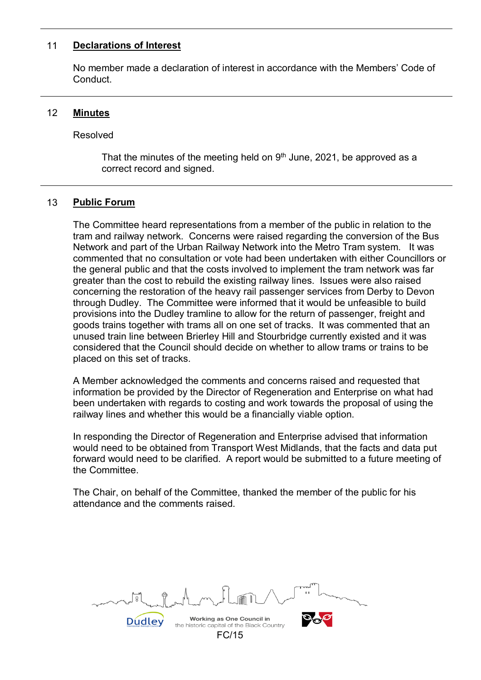#### 11 **Declarations of Interest**

No member made a declaration of interest in accordance with the Members' Code of **Conduct** 

## 12 **Minutes**

Resolved

That the minutes of the meeting held on  $9<sup>th</sup>$  June, 2021, be approved as a correct record and signed.

## 13 **Public Forum**

The Committee heard representations from a member of the public in relation to the tram and railway network. Concerns were raised regarding the conversion of the Bus Network and part of the Urban Railway Network into the Metro Tram system. It was commented that no consultation or vote had been undertaken with either Councillors or the general public and that the costs involved to implement the tram network was far greater than the cost to rebuild the existing railway lines. Issues were also raised concerning the restoration of the heavy rail passenger services from Derby to Devon through Dudley. The Committee were informed that it would be unfeasible to build provisions into the Dudley tramline to allow for the return of passenger, freight and goods trains together with trams all on one set of tracks. It was commented that an unused train line between Brierley Hill and Stourbridge currently existed and it was considered that the Council should decide on whether to allow trams or trains to be placed on this set of tracks.

A Member acknowledged the comments and concerns raised and requested that information be provided by the Director of Regeneration and Enterprise on what had been undertaken with regards to costing and work towards the proposal of using the railway lines and whether this would be a financially viable option.

In responding the Director of Regeneration and Enterprise advised that information would need to be obtained from Transport West Midlands, that the facts and data put forward would need to be clarified. A report would be submitted to a future meeting of the Committee.

The Chair, on behalf of the Committee, thanked the member of the public for his attendance and the comments raised.

Working as One Council in Dudley the historic capital of the Black Country FC/15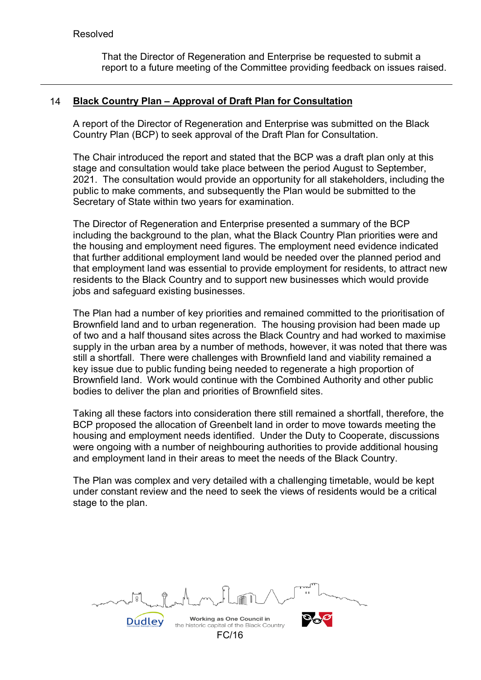That the Director of Regeneration and Enterprise be requested to submit a report to a future meeting of the Committee providing feedback on issues raised.

## 14 **Black Country Plan – Approval of Draft Plan for Consultation**

A report of the Director of Regeneration and Enterprise was submitted on the Black Country Plan (BCP) to seek approval of the Draft Plan for Consultation.

The Chair introduced the report and stated that the BCP was a draft plan only at this stage and consultation would take place between the period August to September, 2021. The consultation would provide an opportunity for all stakeholders, including the public to make comments, and subsequently the Plan would be submitted to the Secretary of State within two years for examination.

The Director of Regeneration and Enterprise presented a summary of the BCP including the background to the plan, what the Black Country Plan priorities were and the housing and employment need figures. The employment need evidence indicated that further additional employment land would be needed over the planned period and that employment land was essential to provide employment for residents, to attract new residents to the Black Country and to support new businesses which would provide jobs and safeguard existing businesses.

The Plan had a number of key priorities and remained committed to the prioritisation of Brownfield land and to urban regeneration. The housing provision had been made up of two and a half thousand sites across the Black Country and had worked to maximise supply in the urban area by a number of methods, however, it was noted that there was still a shortfall. There were challenges with Brownfield land and viability remained a key issue due to public funding being needed to regenerate a high proportion of Brownfield land. Work would continue with the Combined Authority and other public bodies to deliver the plan and priorities of Brownfield sites.

Taking all these factors into consideration there still remained a shortfall, therefore, the BCP proposed the allocation of Greenbelt land in order to move towards meeting the housing and employment needs identified. Under the Duty to Cooperate, discussions were ongoing with a number of neighbouring authorities to provide additional housing and employment land in their areas to meet the needs of the Black Country.

The Plan was complex and very detailed with a challenging timetable, would be kept under constant review and the need to seek the views of residents would be a critical stage to the plan.

Working as One Council in **Dudley** the historic capital of the Black Country FC/16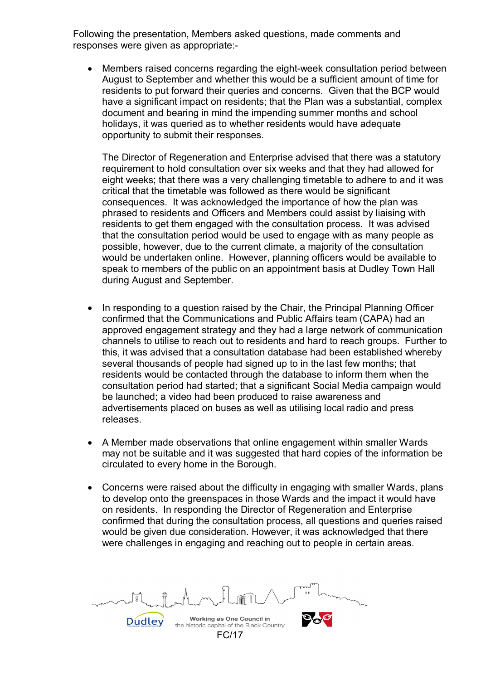Following the presentation, Members asked questions, made comments and responses were given as appropriate:-

• Members raised concerns regarding the eight-week consultation period between August to September and whether this would be a sufficient amount of time for residents to put forward their queries and concerns. Given that the BCP would have a significant impact on residents; that the Plan was a substantial, complex document and bearing in mind the impending summer months and school holidays, it was queried as to whether residents would have adequate opportunity to submit their responses.

The Director of Regeneration and Enterprise advised that there was a statutory requirement to hold consultation over six weeks and that they had allowed for eight weeks; that there was a very challenging timetable to adhere to and it was critical that the timetable was followed as there would be significant consequences. It was acknowledged the importance of how the plan was phrased to residents and Officers and Members could assist by liaising with residents to get them engaged with the consultation process. It was advised that the consultation period would be used to engage with as many people as possible, however, due to the current climate, a majority of the consultation would be undertaken online. However, planning officers would be available to speak to members of the public on an appointment basis at Dudley Town Hall during August and September.

- In responding to a question raised by the Chair, the Principal Planning Officer confirmed that the Communications and Public Affairs team (CAPA) had an approved engagement strategy and they had a large network of communication channels to utilise to reach out to residents and hard to reach groups. Further to this, it was advised that a consultation database had been established whereby several thousands of people had signed up to in the last few months; that residents would be contacted through the database to inform them when the consultation period had started; that a significant Social Media campaign would be launched; a video had been produced to raise awareness and advertisements placed on buses as well as utilising local radio and press releases.
- A Member made observations that online engagement within smaller Wards may not be suitable and it was suggested that hard copies of the information be circulated to every home in the Borough.
- Concerns were raised about the difficulty in engaging with smaller Wards, plans to develop onto the greenspaces in those Wards and the impact it would have on residents. In responding the Director of Regeneration and Enterprise confirmed that during the consultation process, all questions and queries raised would be given due consideration. However, it was acknowledged that there were challenges in engaging and reaching out to people in certain areas.

Working as One Council in Dudley the historic capital of the Black Country FC/17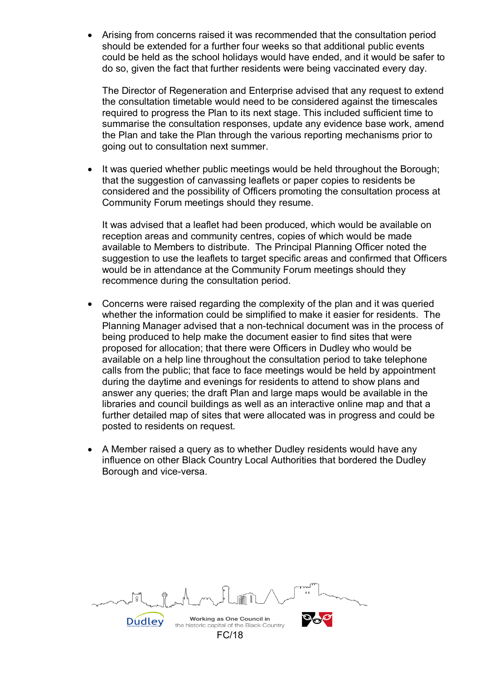• Arising from concerns raised it was recommended that the consultation period should be extended for a further four weeks so that additional public events could be held as the school holidays would have ended, and it would be safer to do so, given the fact that further residents were being vaccinated every day.

The Director of Regeneration and Enterprise advised that any request to extend the consultation timetable would need to be considered against the timescales required to progress the Plan to its next stage. This included sufficient time to summarise the consultation responses, update any evidence base work, amend the Plan and take the Plan through the various reporting mechanisms prior to going out to consultation next summer.

It was queried whether public meetings would be held throughout the Borough; that the suggestion of canvassing leaflets or paper copies to residents be considered and the possibility of Officers promoting the consultation process at Community Forum meetings should they resume.

It was advised that a leaflet had been produced, which would be available on reception areas and community centres, copies of which would be made available to Members to distribute. The Principal Planning Officer noted the suggestion to use the leaflets to target specific areas and confirmed that Officers would be in attendance at the Community Forum meetings should they recommence during the consultation period.

- Concerns were raised regarding the complexity of the plan and it was queried whether the information could be simplified to make it easier for residents. The Planning Manager advised that a non-technical document was in the process of being produced to help make the document easier to find sites that were proposed for allocation; that there were Officers in Dudley who would be available on a help line throughout the consultation period to take telephone calls from the public; that face to face meetings would be held by appointment during the daytime and evenings for residents to attend to show plans and answer any queries; the draft Plan and large maps would be available in the libraries and council buildings as well as an interactive online map and that a further detailed map of sites that were allocated was in progress and could be posted to residents on request.
- A Member raised a query as to whether Dudley residents would have any influence on other Black Country Local Authorities that bordered the Dudley Borough and vice-versa.

| .⋒<br>$\sim$<br>ր≀∖ղ                                                          | $T$ www.<br>0 <sub>0</sub> |
|-------------------------------------------------------------------------------|----------------------------|
| <b>Working as One Council in</b><br>the historic capital of the Black Country |                            |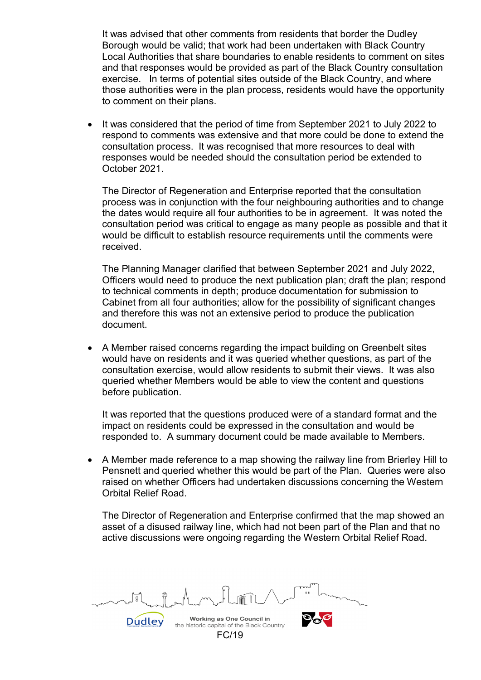It was advised that other comments from residents that border the Dudley Borough would be valid; that work had been undertaken with Black Country Local Authorities that share boundaries to enable residents to comment on sites and that responses would be provided as part of the Black Country consultation exercise. In terms of potential sites outside of the Black Country, and where those authorities were in the plan process, residents would have the opportunity to comment on their plans.

• It was considered that the period of time from September 2021 to July 2022 to respond to comments was extensive and that more could be done to extend the consultation process. It was recognised that more resources to deal with responses would be needed should the consultation period be extended to October 2021.

The Director of Regeneration and Enterprise reported that the consultation process was in conjunction with the four neighbouring authorities and to change the dates would require all four authorities to be in agreement. It was noted the consultation period was critical to engage as many people as possible and that it would be difficult to establish resource requirements until the comments were received.

The Planning Manager clarified that between September 2021 and July 2022, Officers would need to produce the next publication plan; draft the plan; respond to technical comments in depth; produce documentation for submission to Cabinet from all four authorities; allow for the possibility of significant changes and therefore this was not an extensive period to produce the publication document.

• A Member raised concerns regarding the impact building on Greenbelt sites would have on residents and it was queried whether questions, as part of the consultation exercise, would allow residents to submit their views. It was also queried whether Members would be able to view the content and questions before publication.

It was reported that the questions produced were of a standard format and the impact on residents could be expressed in the consultation and would be responded to. A summary document could be made available to Members.

• A Member made reference to a map showing the railway line from Brierley Hill to Pensnett and queried whether this would be part of the Plan. Queries were also raised on whether Officers had undertaken discussions concerning the Western Orbital Relief Road.

The Director of Regeneration and Enterprise confirmed that the map showed an asset of a disused railway line, which had not been part of the Plan and that no active discussions were ongoing regarding the Western Orbital Relief Road.

Working as One Council in **Dudley** the historic capital of the Black Country

FC/19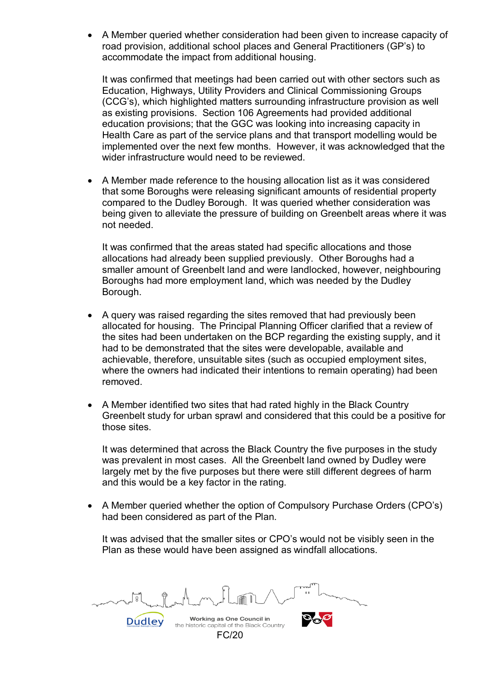• A Member queried whether consideration had been given to increase capacity of road provision, additional school places and General Practitioners (GP's) to accommodate the impact from additional housing.

It was confirmed that meetings had been carried out with other sectors such as Education, Highways, Utility Providers and Clinical Commissioning Groups (CCG's), which highlighted matters surrounding infrastructure provision as well as existing provisions. Section 106 Agreements had provided additional education provisions; that the GGC was looking into increasing capacity in Health Care as part of the service plans and that transport modelling would be implemented over the next few months. However, it was acknowledged that the wider infrastructure would need to be reviewed.

• A Member made reference to the housing allocation list as it was considered that some Boroughs were releasing significant amounts of residential property compared to the Dudley Borough. It was queried whether consideration was being given to alleviate the pressure of building on Greenbelt areas where it was not needed.

It was confirmed that the areas stated had specific allocations and those allocations had already been supplied previously. Other Boroughs had a smaller amount of Greenbelt land and were landlocked, however, neighbouring Boroughs had more employment land, which was needed by the Dudley Borough.

- A query was raised regarding the sites removed that had previously been allocated for housing. The Principal Planning Officer clarified that a review of the sites had been undertaken on the BCP regarding the existing supply, and it had to be demonstrated that the sites were developable, available and achievable, therefore, unsuitable sites (such as occupied employment sites, where the owners had indicated their intentions to remain operating) had been removed.
- A Member identified two sites that had rated highly in the Black Country Greenbelt study for urban sprawl and considered that this could be a positive for those sites.

It was determined that across the Black Country the five purposes in the study was prevalent in most cases. All the Greenbelt land owned by Dudley were largely met by the five purposes but there were still different degrees of harm and this would be a key factor in the rating.

• A Member queried whether the option of Compulsory Purchase Orders (CPO's) had been considered as part of the Plan.

It was advised that the smaller sites or CPO's would not be visibly seen in the Plan as these would have been assigned as windfall allocations.

Working as One Council in Dudley the historic capital of the Black Country FC/20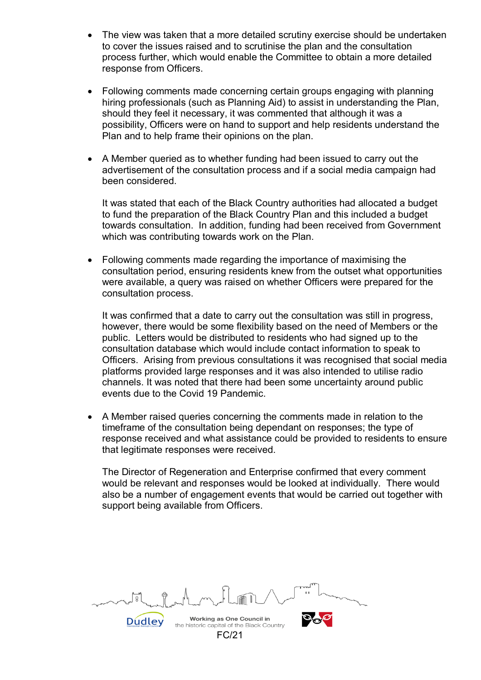- The view was taken that a more detailed scrutiny exercise should be undertaken to cover the issues raised and to scrutinise the plan and the consultation process further, which would enable the Committee to obtain a more detailed response from Officers.
- Following comments made concerning certain groups engaging with planning hiring professionals (such as Planning Aid) to assist in understanding the Plan, should they feel it necessary, it was commented that although it was a possibility, Officers were on hand to support and help residents understand the Plan and to help frame their opinions on the plan.
- A Member queried as to whether funding had been issued to carry out the advertisement of the consultation process and if a social media campaign had been considered.

It was stated that each of the Black Country authorities had allocated a budget to fund the preparation of the Black Country Plan and this included a budget towards consultation. In addition, funding had been received from Government which was contributing towards work on the Plan.

• Following comments made regarding the importance of maximising the consultation period, ensuring residents knew from the outset what opportunities were available, a query was raised on whether Officers were prepared for the consultation process.

It was confirmed that a date to carry out the consultation was still in progress, however, there would be some flexibility based on the need of Members or the public. Letters would be distributed to residents who had signed up to the consultation database which would include contact information to speak to Officers. Arising from previous consultations it was recognised that social media platforms provided large responses and it was also intended to utilise radio channels. It was noted that there had been some uncertainty around public events due to the Covid 19 Pandemic.

• A Member raised queries concerning the comments made in relation to the timeframe of the consultation being dependant on responses; the type of response received and what assistance could be provided to residents to ensure that legitimate responses were received.

The Director of Regeneration and Enterprise confirmed that every comment would be relevant and responses would be looked at individually. There would also be a number of engagement events that would be carried out together with support being available from Officers.

Working as One Council in Dudley the historic capital of the Black Country FC/21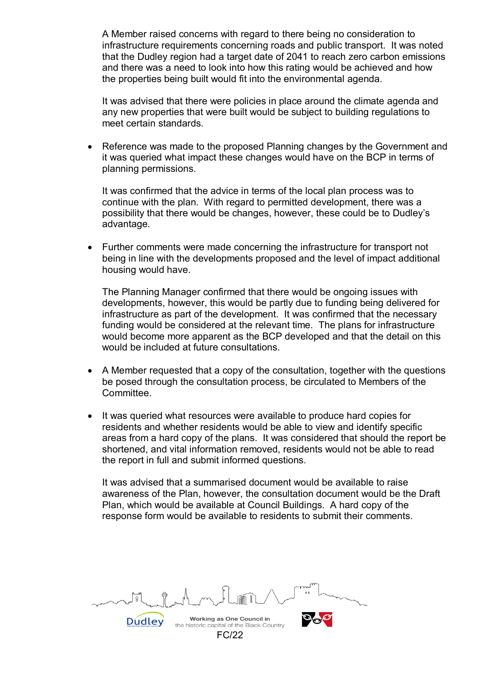A Member raised concerns with regard to there being no consideration to infrastructure requirements concerning roads and public transport. It was noted that the Dudley region had a target date of 2041 to reach zero carbon emissions and there was a need to look into how this rating would be achieved and how the properties being built would fit into the environmental agenda.

It was advised that there were policies in place around the climate agenda and any new properties that were built would be subject to building regulations to meet certain standards.

• Reference was made to the proposed Planning changes by the Government and it was queried what impact these changes would have on the BCP in terms of planning permissions.

It was confirmed that the advice in terms of the local plan process was to continue with the plan. With regard to permitted development, there was a possibility that there would be changes, however, these could be to Dudley's advantage.

• Further comments were made concerning the infrastructure for transport not being in line with the developments proposed and the level of impact additional housing would have.

The Planning Manager confirmed that there would be ongoing issues with developments, however, this would be partly due to funding being delivered for infrastructure as part of the development. It was confirmed that the necessary funding would be considered at the relevant time. The plans for infrastructure would become more apparent as the BCP developed and that the detail on this would be included at future consultations.

- A Member requested that a copy of the consultation, together with the questions be posed through the consultation process, be circulated to Members of the Committee.
- It was queried what resources were available to produce hard copies for residents and whether residents would be able to view and identify specific areas from a hard copy of the plans. It was considered that should the report be shortened, and vital information removed, residents would not be able to read the report in full and submit informed questions.

It was advised that a summarised document would be available to raise awareness of the Plan, however, the consultation document would be the Draft Plan, which would be available at Council Buildings. A hard copy of the response form would be available to residents to submit their comments.

Working as One Council in Dudley the historic capital of the Black Country FC/22